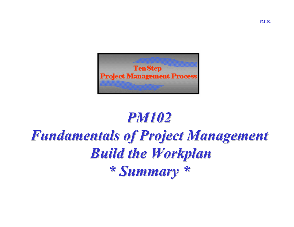

# *PM102 Fundamentals of Project Management Fundamentals of Project Management Build the Workplan Build the Workplan \* Summary \* \* Summary \**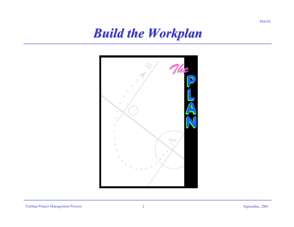#### *Build the Workplan Build the Workplan*

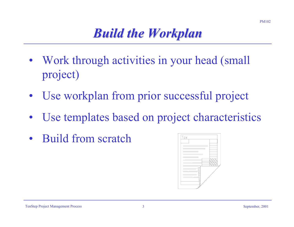# *Build the Workplan Build the Workplan*

- Work through activities in your head (small project)
- •Use workplan from prior successful project
- •Use templates based on project characteristics
- $\bullet$ Build from scratch

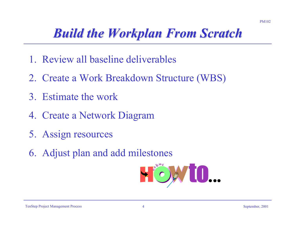# *Build the Workplan From Scratch Build the Workplan From Scratch*

- 1. Review all baseline deliverables
- 2. Create a Work Breakdown Structure (WBS)
- 3. Estimate the work
- 4. Create a Network Diagram
- 5. Assign resources
- 6. Adjust plan and add milestones

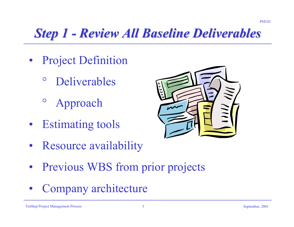# **Step 1 - Review All Baseline Deliverables**

- Project Definition
	- $\circ$ Deliverables
	- $\mathsf{O}$ Approach
- Estimating tools
- 
- Resource availability
- Previous WBS from prior projects
- •Company architecture

PM102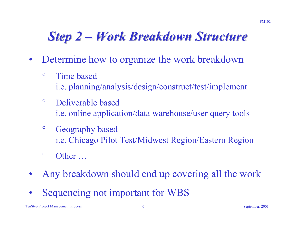## **Step 2 –** *Work Breakdown Structure*

- $\bullet$  Determine how to organize the work breakdown
	- $\circ$  Time based i.e. planning/analysis/design/construct/test/implement
	- $\circ$  Deliverable based i.e. online application/data warehouse/user query tools
	- $\circ$  Geography based i.e. Chicago Pilot Test/Midwest Region/Eastern Region
	- $\circ$ Other …
- •Any breakdown should end up covering all the work
- •Sequencing not important for WBS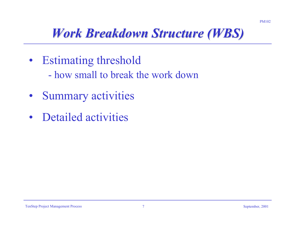# *Work Breakdown Structure (WBS) Work Breakdown Structure (WBS)*

- Estimating threshold
	- how small to break the work down
- •Summary activities
- $\bullet$ Detailed activities

PM102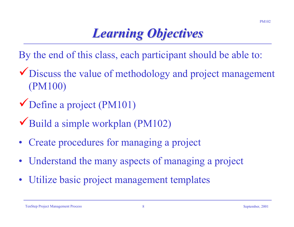# *Learning Objectives Learning Objectives*

- By the end of this class, each participant should be able to:
- Discuss the value of methodology and project management (PM100)
- $\checkmark$  Define a project (PM101)
- $\blacktriangledown$  Build a simple workplan (PM102)
- •Create procedures for managing a project
- •Understand the many aspects of managing a project
- •Utilize basic project management templates